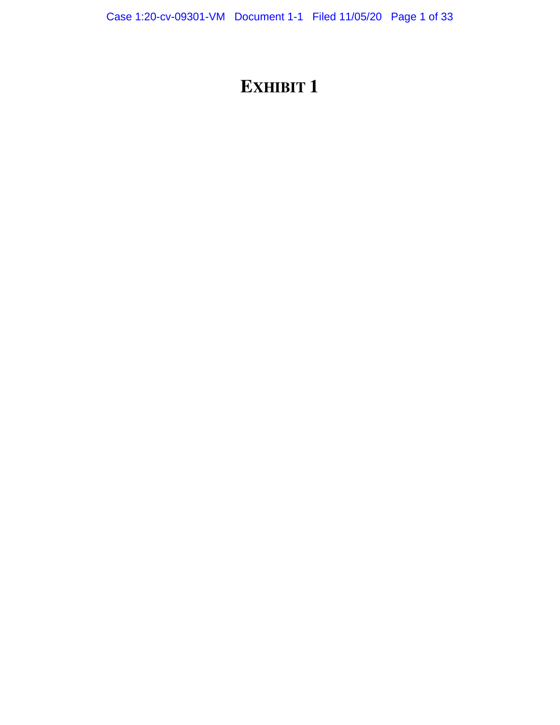# **EXHIBIT 1**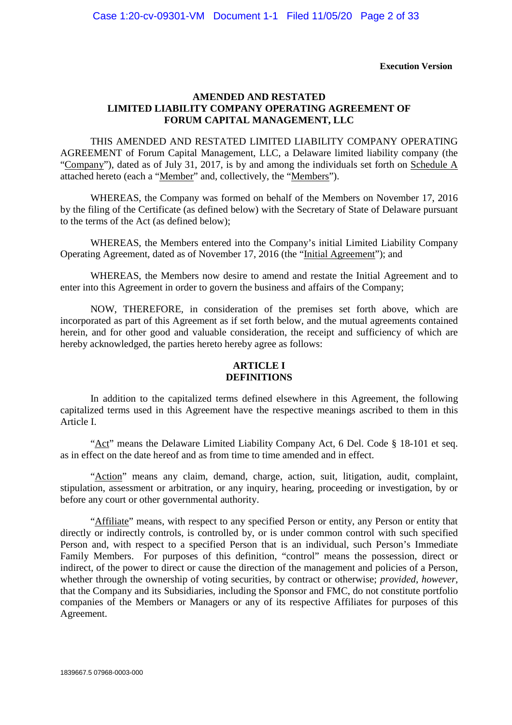#### **Execution Version**

# **AMENDED AND RESTATED LIMITED LIABILITY COMPANY OPERATING AGREEMENT OF FORUM CAPITAL MANAGEMENT, LLC**

THIS AMENDED AND RESTATED LIMITED LIABILITY COMPANY OPERATING AGREEMENT of Forum Capital Management, LLC, a Delaware limited liability company (the "Company"), dated as of July 31, 2017, is by and among the individuals set forth on Schedule A attached hereto (each a "Member" and, collectively, the "Members").

WHEREAS, the Company was formed on behalf of the Members on November 17, 2016 by the filing of the Certificate (as defined below) with the Secretary of State of Delaware pursuant to the terms of the Act (as defined below);

WHEREAS, the Members entered into the Company's initial Limited Liability Company Operating Agreement, dated as of November 17, 2016 (the "Initial Agreement"); and

WHEREAS, the Members now desire to amend and restate the Initial Agreement and to enter into this Agreement in order to govern the business and affairs of the Company;

NOW, THEREFORE, in consideration of the premises set forth above, which are incorporated as part of this Agreement as if set forth below, and the mutual agreements contained herein, and for other good and valuable consideration, the receipt and sufficiency of which are hereby acknowledged, the parties hereto hereby agree as follows:

# **ARTICLE I DEFINITIONS**

In addition to the capitalized terms defined elsewhere in this Agreement, the following capitalized terms used in this Agreement have the respective meanings ascribed to them in this Article I.

"Act" means the Delaware Limited Liability Company Act, 6 Del. Code § 18-101 et seq. as in effect on the date hereof and as from time to time amended and in effect.

"Action" means any claim, demand, charge, action, suit, litigation, audit, complaint, stipulation, assessment or arbitration, or any inquiry, hearing, proceeding or investigation, by or before any court or other governmental authority.

"Affiliate" means, with respect to any specified Person or entity, any Person or entity that directly or indirectly controls, is controlled by, or is under common control with such specified Person and, with respect to a specified Person that is an individual, such Person's Immediate Family Members. For purposes of this definition, "control" means the possession, direct or indirect, of the power to direct or cause the direction of the management and policies of a Person, whether through the ownership of voting securities, by contract or otherwise; *provided*, *however*, that the Company and its Subsidiaries, including the Sponsor and FMC, do not constitute portfolio companies of the Members or Managers or any of its respective Affiliates for purposes of this Agreement.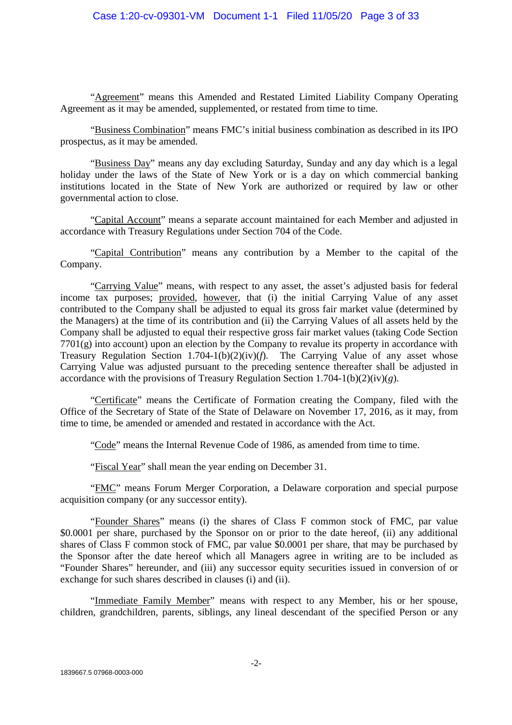"Agreement" means this Amended and Restated Limited Liability Company Operating Agreement as it may be amended, supplemented, or restated from time to time.

"Business Combination" means FMC's initial business combination as described in its IPO prospectus, as it may be amended.

"Business Day" means any day excluding Saturday, Sunday and any day which is a legal holiday under the laws of the State of New York or is a day on which commercial banking institutions located in the State of New York are authorized or required by law or other governmental action to close.

"Capital Account" means a separate account maintained for each Member and adjusted in accordance with Treasury Regulations under Section 704 of the Code.

"Capital Contribution" means any contribution by a Member to the capital of the Company.

"Carrying Value" means, with respect to any asset, the asset's adjusted basis for federal income tax purposes; provided, however, that (i) the initial Carrying Value of any asset contributed to the Company shall be adjusted to equal its gross fair market value (determined by the Managers) at the time of its contribution and (ii) the Carrying Values of all assets held by the Company shall be adjusted to equal their respective gross fair market values (taking Code Section 7701(g) into account) upon an election by the Company to revalue its property in accordance with Treasury Regulation Section 1.704-1(b)(2)(iv)(*f*). The Carrying Value of any asset whose Carrying Value was adjusted pursuant to the preceding sentence thereafter shall be adjusted in accordance with the provisions of Treasury Regulation Section 1.704-1(b)(2)(iv)(*g*).

"Certificate" means the Certificate of Formation creating the Company, filed with the Office of the Secretary of State of the State of Delaware on November 17, 2016, as it may, from time to time, be amended or amended and restated in accordance with the Act.

"Code" means the Internal Revenue Code of 1986, as amended from time to time.

"Fiscal Year" shall mean the year ending on December 31.

"FMC" means Forum Merger Corporation, a Delaware corporation and special purpose acquisition company (or any successor entity).

"Founder Shares" means (i) the shares of Class F common stock of FMC, par value \$0.0001 per share, purchased by the Sponsor on or prior to the date hereof, (ii) any additional shares of Class F common stock of FMC, par value \$0.0001 per share, that may be purchased by the Sponsor after the date hereof which all Managers agree in writing are to be included as "Founder Shares" hereunder, and (iii) any successor equity securities issued in conversion of or exchange for such shares described in clauses (i) and (ii).

"Immediate Family Member" means with respect to any Member, his or her spouse, children, grandchildren, parents, siblings, any lineal descendant of the specified Person or any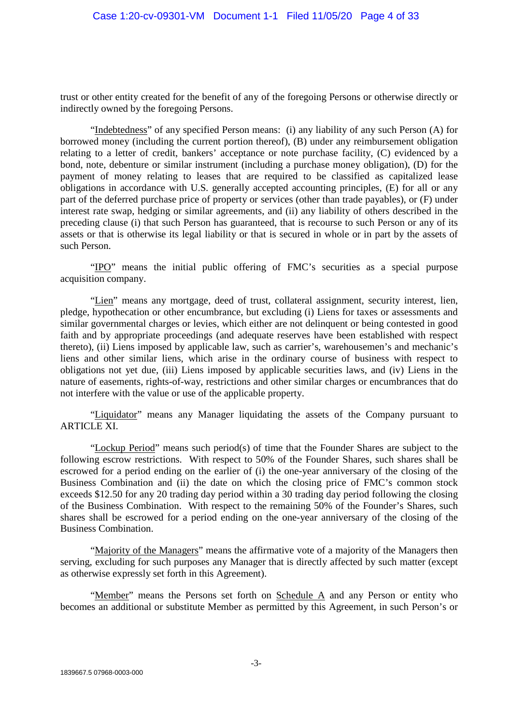trust or other entity created for the benefit of any of the foregoing Persons or otherwise directly or indirectly owned by the foregoing Persons.

"Indebtedness" of any specified Person means: (i) any liability of any such Person (A) for borrowed money (including the current portion thereof), (B) under any reimbursement obligation relating to a letter of credit, bankers' acceptance or note purchase facility, (C) evidenced by a bond, note, debenture or similar instrument (including a purchase money obligation), (D) for the payment of money relating to leases that are required to be classified as capitalized lease obligations in accordance with U.S. generally accepted accounting principles, (E) for all or any part of the deferred purchase price of property or services (other than trade payables), or (F) under interest rate swap, hedging or similar agreements, and (ii) any liability of others described in the preceding clause (i) that such Person has guaranteed, that is recourse to such Person or any of its assets or that is otherwise its legal liability or that is secured in whole or in part by the assets of such Person.

"IPO" means the initial public offering of FMC's securities as a special purpose acquisition company.

"Lien" means any mortgage, deed of trust, collateral assignment, security interest, lien, pledge, hypothecation or other encumbrance, but excluding (i) Liens for taxes or assessments and similar governmental charges or levies, which either are not delinquent or being contested in good faith and by appropriate proceedings (and adequate reserves have been established with respect thereto), (ii) Liens imposed by applicable law, such as carrier's, warehousemen's and mechanic's liens and other similar liens, which arise in the ordinary course of business with respect to obligations not yet due, (iii) Liens imposed by applicable securities laws, and (iv) Liens in the nature of easements, rights-of-way, restrictions and other similar charges or encumbrances that do not interfere with the value or use of the applicable property.

"Liquidator" means any Manager liquidating the assets of the Company pursuant to **ARTICLE XI.** 

"Lockup Period" means such period(s) of time that the Founder Shares are subject to the following escrow restrictions. With respect to 50% of the Founder Shares, such shares shall be escrowed for a period ending on the earlier of (i) the one-year anniversary of the closing of the Business Combination and (ii) the date on which the closing price of FMC's common stock exceeds \$12.50 for any 20 trading day period within a 30 trading day period following the closing of the Business Combination. With respect to the remaining 50% of the Founder's Shares, such shares shall be escrowed for a period ending on the one-year anniversary of the closing of the Business Combination.

"Majority of the Managers" means the affirmative vote of a majority of the Managers then serving, excluding for such purposes any Manager that is directly affected by such matter (except as otherwise expressly set forth in this Agreement).

"Member" means the Persons set forth on Schedule A and any Person or entity who becomes an additional or substitute Member as permitted by this Agreement, in such Person's or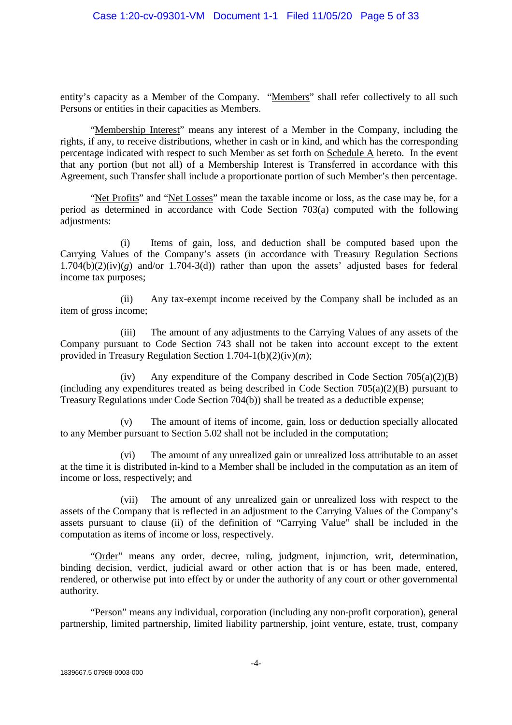entity's capacity as a Member of the Company. "Members" shall refer collectively to all such Persons or entities in their capacities as Members.

"Membership Interest" means any interest of a Member in the Company, including the rights, if any, to receive distributions, whether in cash or in kind, and which has the corresponding percentage indicated with respect to such Member as set forth on Schedule A hereto. In the event that any portion (but not all) of a Membership Interest is Transferred in accordance with this Agreement, such Transfer shall include a proportionate portion of such Member's then percentage.

"Net Profits" and "Net Losses" mean the taxable income or loss, as the case may be, for a period as determined in accordance with Code Section 703(a) computed with the following adjustments:

(i) Items of gain, loss, and deduction shall be computed based upon the Carrying Values of the Company's assets (in accordance with Treasury Regulation Sections  $1.704(b)(2)(iv)(g)$  and/or  $1.704-3(d)$ ) rather than upon the assets' adjusted bases for federal income tax purposes;

(ii) Any tax-exempt income received by the Company shall be included as an item of gross income;

(iii) The amount of any adjustments to the Carrying Values of any assets of the Company pursuant to Code Section 743 shall not be taken into account except to the extent provided in Treasury Regulation Section 1.704-1(b)(2)(iv)(*m*);

(iv) Any expenditure of the Company described in Code Section  $705(a)(2)(B)$ (including any expenditures treated as being described in Code Section 705(a)(2)(B) pursuant to Treasury Regulations under Code Section 704(b)) shall be treated as a deductible expense;

(v) The amount of items of income, gain, loss or deduction specially allocated to any Member pursuant to Section 5.02 shall not be included in the computation;

(vi) The amount of any unrealized gain or unrealized loss attributable to an asset at the time it is distributed in-kind to a Member shall be included in the computation as an item of income or loss, respectively; and

(vii) The amount of any unrealized gain or unrealized loss with respect to the assets of the Company that is reflected in an adjustment to the Carrying Values of the Company's assets pursuant to clause (ii) of the definition of "Carrying Value" shall be included in the computation as items of income or loss, respectively.

"Order" means any order, decree, ruling, judgment, injunction, writ, determination, binding decision, verdict, judicial award or other action that is or has been made, entered, rendered, or otherwise put into effect by or under the authority of any court or other governmental authority.

"Person" means any individual, corporation (including any non-profit corporation), general partnership, limited partnership, limited liability partnership, joint venture, estate, trust, company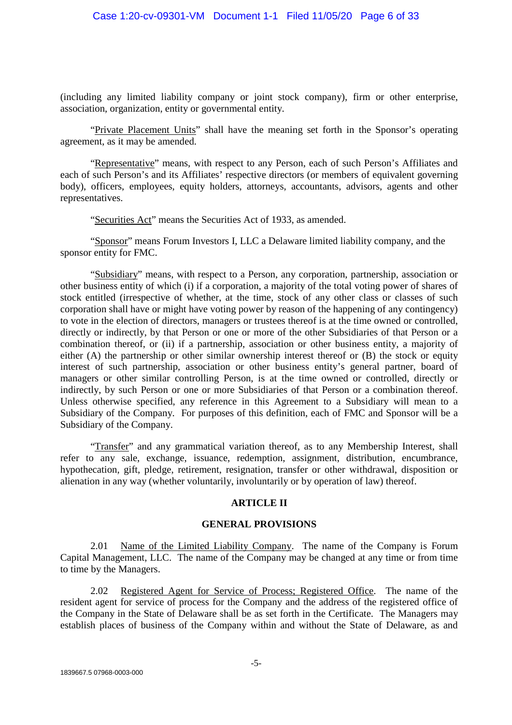(including any limited liability company or joint stock company), firm or other enterprise, association, organization, entity or governmental entity.

"Private Placement Units" shall have the meaning set forth in the Sponsor's operating agreement, as it may be amended.

"Representative" means, with respect to any Person, each of such Person's Affiliates and each of such Person's and its Affiliates' respective directors (or members of equivalent governing body), officers, employees, equity holders, attorneys, accountants, advisors, agents and other representatives.

"Securities Act" means the Securities Act of 1933, as amended.

"Sponsor" means Forum Investors I, LLC a Delaware limited liability company, and the sponsor entity for FMC.

"Subsidiary" means, with respect to a Person, any corporation, partnership, association or other business entity of which (i) if a corporation, a majority of the total voting power of shares of stock entitled (irrespective of whether, at the time, stock of any other class or classes of such corporation shall have or might have voting power by reason of the happening of any contingency) to vote in the election of directors, managers or trustees thereof is at the time owned or controlled, directly or indirectly, by that Person or one or more of the other Subsidiaries of that Person or a combination thereof, or (ii) if a partnership, association or other business entity, a majority of either (A) the partnership or other similar ownership interest thereof or (B) the stock or equity interest of such partnership, association or other business entity's general partner, board of managers or other similar controlling Person, is at the time owned or controlled, directly or indirectly, by such Person or one or more Subsidiaries of that Person or a combination thereof. Unless otherwise specified, any reference in this Agreement to a Subsidiary will mean to a Subsidiary of the Company. For purposes of this definition, each of FMC and Sponsor will be a Subsidiary of the Company.

"Transfer" and any grammatical variation thereof, as to any Membership Interest, shall refer to any sale, exchange, issuance, redemption, assignment, distribution, encumbrance, hypothecation, gift, pledge, retirement, resignation, transfer or other withdrawal, disposition or alienation in any way (whether voluntarily, involuntarily or by operation of law) thereof.

#### **ARTICLE II**

#### **GENERAL PROVISIONS**

2.01 Name of the Limited Liability Company. The name of the Company is Forum Capital Management, LLC. The name of the Company may be changed at any time or from time to time by the Managers.

2.02 Registered Agent for Service of Process; Registered Office. The name of the resident agent for service of process for the Company and the address of the registered office of the Company in the State of Delaware shall be as set forth in the Certificate. The Managers may establish places of business of the Company within and without the State of Delaware, as and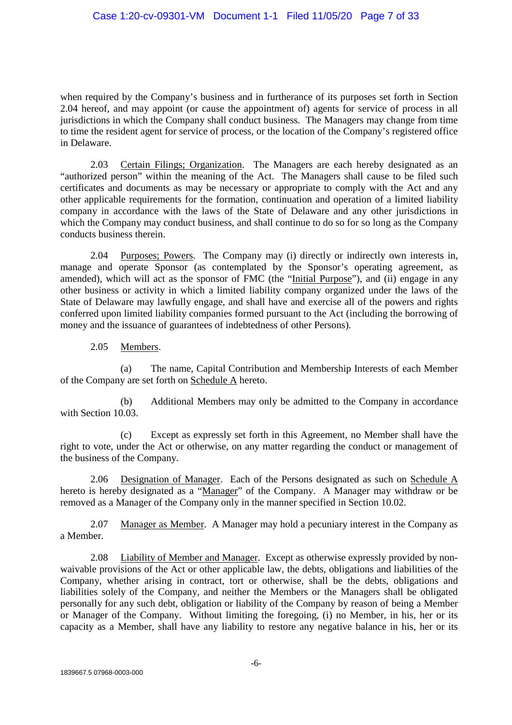when required by the Company's business and in furtherance of its purposes set forth in Section 2.04 hereof, and may appoint (or cause the appointment of) agents for service of process in all jurisdictions in which the Company shall conduct business. The Managers may change from time to time the resident agent for service of process, or the location of the Company's registered office in Delaware.

2.03 Certain Filings; Organization. The Managers are each hereby designated as an "authorized person" within the meaning of the Act. The Managers shall cause to be filed such certificates and documents as may be necessary or appropriate to comply with the Act and any other applicable requirements for the formation, continuation and operation of a limited liability company in accordance with the laws of the State of Delaware and any other jurisdictions in which the Company may conduct business, and shall continue to do so for so long as the Company conducts business therein.

2.04 Purposes; Powers. The Company may (i) directly or indirectly own interests in, manage and operate Sponsor (as contemplated by the Sponsor's operating agreement, as amended), which will act as the sponsor of FMC (the "Initial Purpose"), and (ii) engage in any other business or activity in which a limited liability company organized under the laws of the State of Delaware may lawfully engage, and shall have and exercise all of the powers and rights conferred upon limited liability companies formed pursuant to the Act (including the borrowing of money and the issuance of guarantees of indebtedness of other Persons).

2.05 Members.

(a) The name, Capital Contribution and Membership Interests of each Member of the Company are set forth on Schedule A hereto.

(b) Additional Members may only be admitted to the Company in accordance with Section 10.03.

(c) Except as expressly set forth in this Agreement, no Member shall have the right to vote, under the Act or otherwise, on any matter regarding the conduct or management of the business of the Company.

2.06 Designation of Manager. Each of the Persons designated as such on Schedule A hereto is hereby designated as a "Manager" of the Company. A Manager may withdraw or be removed as a Manager of the Company only in the manner specified in Section 10.02.

2.07 Manager as Member. A Manager may hold a pecuniary interest in the Company as a Member.

2.08 Liability of Member and Manager. Except as otherwise expressly provided by nonwaivable provisions of the Act or other applicable law, the debts, obligations and liabilities of the Company, whether arising in contract, tort or otherwise, shall be the debts, obligations and liabilities solely of the Company, and neither the Members or the Managers shall be obligated personally for any such debt, obligation or liability of the Company by reason of being a Member or Manager of the Company. Without limiting the foregoing, (i) no Member, in his, her or its capacity as a Member, shall have any liability to restore any negative balance in his, her or its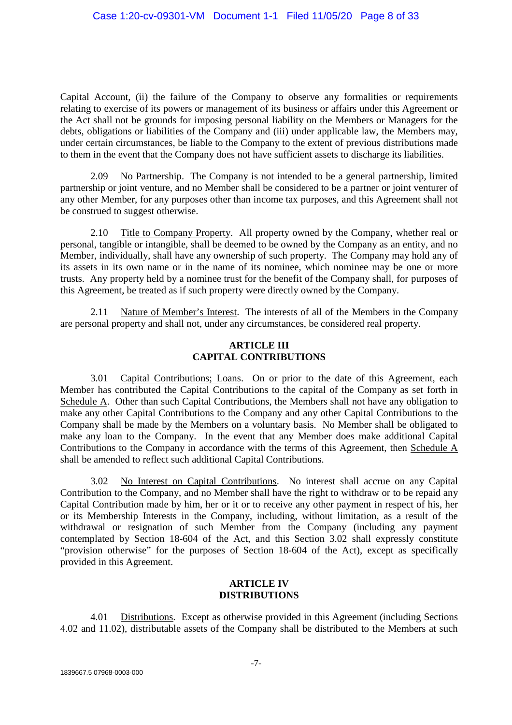Capital Account, (ii) the failure of the Company to observe any formalities or requirements relating to exercise of its powers or management of its business or affairs under this Agreement or the Act shall not be grounds for imposing personal liability on the Members or Managers for the debts, obligations or liabilities of the Company and (iii) under applicable law, the Members may, under certain circumstances, be liable to the Company to the extent of previous distributions made to them in the event that the Company does not have sufficient assets to discharge its liabilities.

2.09 No Partnership. The Company is not intended to be a general partnership, limited partnership or joint venture, and no Member shall be considered to be a partner or joint venturer of any other Member, for any purposes other than income tax purposes, and this Agreement shall not be construed to suggest otherwise.

2.10 Title to Company Property. All property owned by the Company, whether real or personal, tangible or intangible, shall be deemed to be owned by the Company as an entity, and no Member, individually, shall have any ownership of such property. The Company may hold any of its assets in its own name or in the name of its nominee, which nominee may be one or more trusts. Any property held by a nominee trust for the benefit of the Company shall, for purposes of this Agreement, be treated as if such property were directly owned by the Company.

2.11 Nature of Member's Interest. The interests of all of the Members in the Company are personal property and shall not, under any circumstances, be considered real property.

# **ARTICLE III CAPITAL CONTRIBUTIONS**

3.01 Capital Contributions; Loans. On or prior to the date of this Agreement, each Member has contributed the Capital Contributions to the capital of the Company as set forth in Schedule A. Other than such Capital Contributions, the Members shall not have any obligation to make any other Capital Contributions to the Company and any other Capital Contributions to the Company shall be made by the Members on a voluntary basis. No Member shall be obligated to make any loan to the Company. In the event that any Member does make additional Capital Contributions to the Company in accordance with the terms of this Agreement, then Schedule A shall be amended to reflect such additional Capital Contributions.

3.02 No Interest on Capital Contributions. No interest shall accrue on any Capital Contribution to the Company, and no Member shall have the right to withdraw or to be repaid any Capital Contribution made by him, her or it or to receive any other payment in respect of his, her or its Membership Interests in the Company, including, without limitation, as a result of the withdrawal or resignation of such Member from the Company (including any payment contemplated by Section 18-604 of the Act, and this Section 3.02 shall expressly constitute "provision otherwise" for the purposes of Section 18-604 of the Act), except as specifically provided in this Agreement.

## **ARTICLE IV DISTRIBUTIONS**

4.01 Distributions. Except as otherwise provided in this Agreement (including Sections 4.02 and 11.02), distributable assets of the Company shall be distributed to the Members at such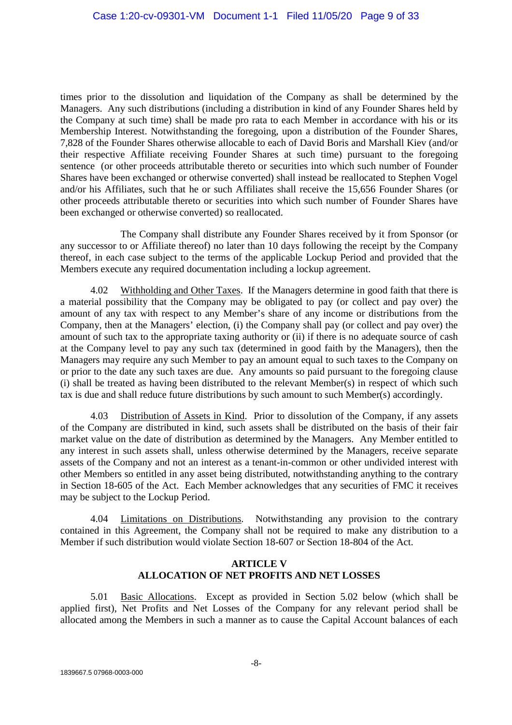times prior to the dissolution and liquidation of the Company as shall be determined by the Managers. Any such distributions (including a distribution in kind of any Founder Shares held by the Company at such time) shall be made pro rata to each Member in accordance with his or its Membership Interest. Notwithstanding the foregoing, upon a distribution of the Founder Shares, 7,828 of the Founder Shares otherwise allocable to each of David Boris and Marshall Kiev (and/or their respective Affiliate receiving Founder Shares at such time) pursuant to the foregoing sentence (or other proceeds attributable thereto or securities into which such number of Founder Shares have been exchanged or otherwise converted) shall instead be reallocated to Stephen Vogel and/or his Affiliates, such that he or such Affiliates shall receive the 15,656 Founder Shares (or other proceeds attributable thereto or securities into which such number of Founder Shares have been exchanged or otherwise converted) so reallocated.

The Company shall distribute any Founder Shares received by it from Sponsor (or any successor to or Affiliate thereof) no later than 10 days following the receipt by the Company thereof, in each case subject to the terms of the applicable Lockup Period and provided that the Members execute any required documentation including a lockup agreement.

4.02 Withholding and Other Taxes. If the Managers determine in good faith that there is a material possibility that the Company may be obligated to pay (or collect and pay over) the amount of any tax with respect to any Member's share of any income or distributions from the Company, then at the Managers' election, (i) the Company shall pay (or collect and pay over) the amount of such tax to the appropriate taxing authority or (ii) if there is no adequate source of cash at the Company level to pay any such tax (determined in good faith by the Managers), then the Managers may require any such Member to pay an amount equal to such taxes to the Company on or prior to the date any such taxes are due. Any amounts so paid pursuant to the foregoing clause (i) shall be treated as having been distributed to the relevant Member(s) in respect of which such tax is due and shall reduce future distributions by such amount to such Member(s) accordingly.

4.03 Distribution of Assets in Kind. Prior to dissolution of the Company, if any assets of the Company are distributed in kind, such assets shall be distributed on the basis of their fair market value on the date of distribution as determined by the Managers. Any Member entitled to any interest in such assets shall, unless otherwise determined by the Managers, receive separate assets of the Company and not an interest as a tenant-in-common or other undivided interest with other Members so entitled in any asset being distributed, notwithstanding anything to the contrary in Section 18-605 of the Act. Each Member acknowledges that any securities of FMC it receives may be subject to the Lockup Period.

4.04 Limitations on Distributions. Notwithstanding any provision to the contrary contained in this Agreement, the Company shall not be required to make any distribution to a Member if such distribution would violate Section 18-607 or Section 18-804 of the Act.

# **ARTICLE V ALLOCATION OF NET PROFITS AND NET LOSSES**

5.01 Basic Allocations. Except as provided in Section 5.02 below (which shall be applied first), Net Profits and Net Losses of the Company for any relevant period shall be allocated among the Members in such a manner as to cause the Capital Account balances of each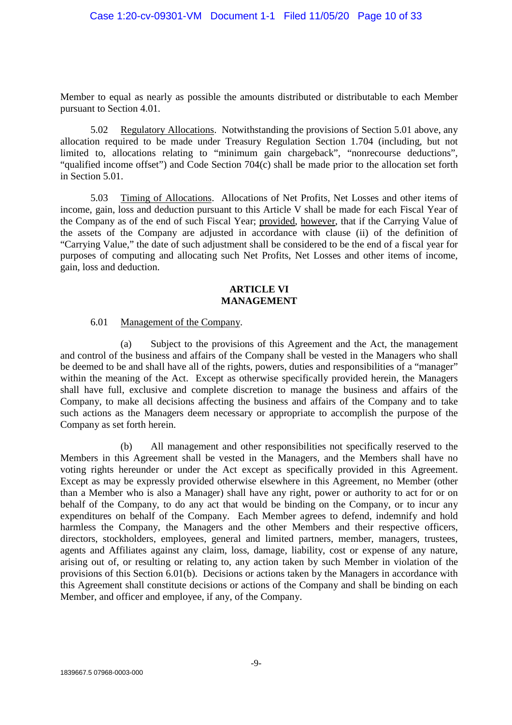Member to equal as nearly as possible the amounts distributed or distributable to each Member pursuant to Section 4.01.

5.02 Regulatory Allocations. Notwithstanding the provisions of Section 5.01 above, any allocation required to be made under Treasury Regulation Section 1.704 (including, but not limited to, allocations relating to "minimum gain chargeback", "nonrecourse deductions", "qualified income offset") and Code Section 704(c) shall be made prior to the allocation set forth in Section 5.01

5.03 Timing of Allocations. Allocations of Net Profits, Net Losses and other items of income, gain, loss and deduction pursuant to this Article V shall be made for each Fiscal Year of the Company as of the end of such Fiscal Year; provided, however, that if the Carrying Value of the assets of the Company are adjusted in accordance with clause (ii) of the definition of "Carrying Value," the date of such adjustment shall be considered to be the end of a fiscal year for purposes of computing and allocating such Net Profits, Net Losses and other items of income, gain, loss and deduction.

# **ARTICLE VI MANAGEMENT**

#### 6.01 Management of the Company.

(a) Subject to the provisions of this Agreement and the Act, the management and control of the business and affairs of the Company shall be vested in the Managers who shall be deemed to be and shall have all of the rights, powers, duties and responsibilities of a "manager" within the meaning of the Act. Except as otherwise specifically provided herein, the Managers shall have full, exclusive and complete discretion to manage the business and affairs of the Company, to make all decisions affecting the business and affairs of the Company and to take such actions as the Managers deem necessary or appropriate to accomplish the purpose of the Company as set forth herein.

(b) All management and other responsibilities not specifically reserved to the Members in this Agreement shall be vested in the Managers, and the Members shall have no voting rights hereunder or under the Act except as specifically provided in this Agreement. Except as may be expressly provided otherwise elsewhere in this Agreement, no Member (other than a Member who is also a Manager) shall have any right, power or authority to act for or on behalf of the Company, to do any act that would be binding on the Company, or to incur any expenditures on behalf of the Company. Each Member agrees to defend, indemnify and hold harmless the Company, the Managers and the other Members and their respective officers, directors, stockholders, employees, general and limited partners, member, managers, trustees, agents and Affiliates against any claim, loss, damage, liability, cost or expense of any nature, arising out of, or resulting or relating to, any action taken by such Member in violation of the provisions of this Section 6.01(b). Decisions or actions taken by the Managers in accordance with this Agreement shall constitute decisions or actions of the Company and shall be binding on each Member, and officer and employee, if any, of the Company.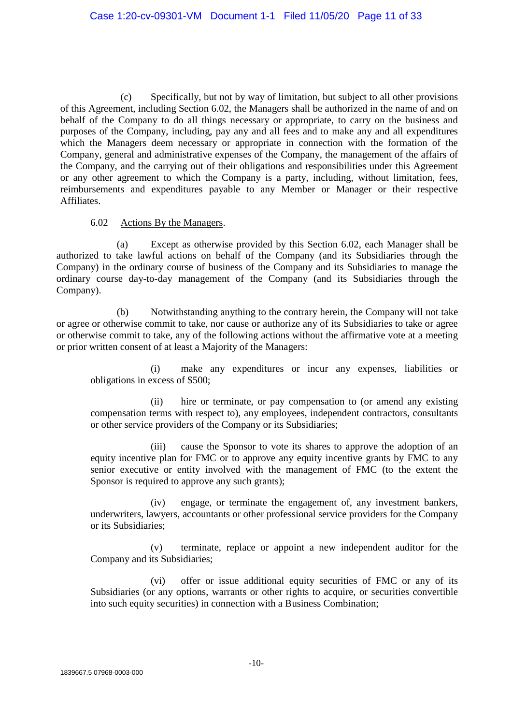(c) Specifically, but not by way of limitation, but subject to all other provisions of this Agreement, including Section 6.02, the Managers shall be authorized in the name of and on behalf of the Company to do all things necessary or appropriate, to carry on the business and purposes of the Company, including, pay any and all fees and to make any and all expenditures which the Managers deem necessary or appropriate in connection with the formation of the Company, general and administrative expenses of the Company, the management of the affairs of the Company, and the carrying out of their obligations and responsibilities under this Agreement or any other agreement to which the Company is a party, including, without limitation, fees, reimbursements and expenditures payable to any Member or Manager or their respective Affiliates.

## 6.02 Actions By the Managers.

(a) Except as otherwise provided by this Section 6.02, each Manager shall be authorized to take lawful actions on behalf of the Company (and its Subsidiaries through the Company) in the ordinary course of business of the Company and its Subsidiaries to manage the ordinary course day-to-day management of the Company (and its Subsidiaries through the Company).

(b) Notwithstanding anything to the contrary herein, the Company will not take or agree or otherwise commit to take, nor cause or authorize any of its Subsidiaries to take or agree or otherwise commit to take, any of the following actions without the affirmative vote at a meeting or prior written consent of at least a Majority of the Managers:

(i) make any expenditures or incur any expenses, liabilities or obligations in excess of \$500;

(ii) hire or terminate, or pay compensation to (or amend any existing compensation terms with respect to), any employees, independent contractors, consultants or other service providers of the Company or its Subsidiaries;

(iii) cause the Sponsor to vote its shares to approve the adoption of an equity incentive plan for FMC or to approve any equity incentive grants by FMC to any senior executive or entity involved with the management of FMC (to the extent the Sponsor is required to approve any such grants);

(iv) engage, or terminate the engagement of, any investment bankers, underwriters, lawyers, accountants or other professional service providers for the Company or its Subsidiaries;

(v) terminate, replace or appoint a new independent auditor for the Company and its Subsidiaries;

(vi) offer or issue additional equity securities of FMC or any of its Subsidiaries (or any options, warrants or other rights to acquire, or securities convertible into such equity securities) in connection with a Business Combination;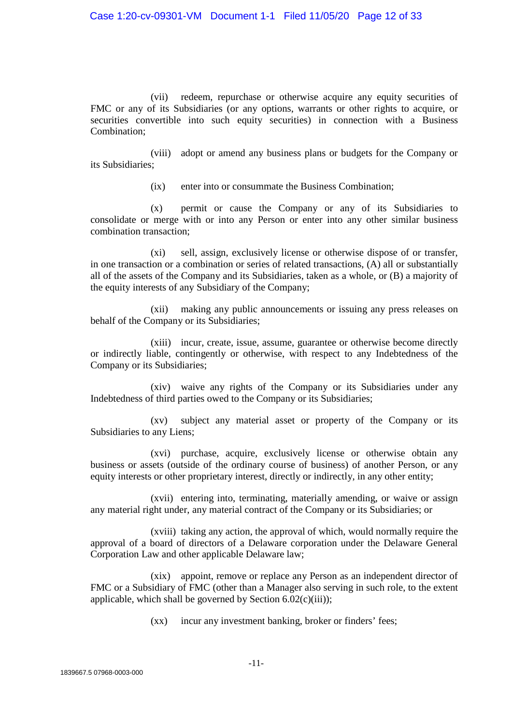(vii) redeem, repurchase or otherwise acquire any equity securities of FMC or any of its Subsidiaries (or any options, warrants or other rights to acquire, or securities convertible into such equity securities) in connection with a Business Combination;

(viii) adopt or amend any business plans or budgets for the Company or its Subsidiaries;

(ix) enter into or consummate the Business Combination;

(x) permit or cause the Company or any of its Subsidiaries to consolidate or merge with or into any Person or enter into any other similar business combination transaction;

(xi) sell, assign, exclusively license or otherwise dispose of or transfer, in one transaction or a combination or series of related transactions, (A) all or substantially all of the assets of the Company and its Subsidiaries, taken as a whole, or (B) a majority of the equity interests of any Subsidiary of the Company;

(xii) making any public announcements or issuing any press releases on behalf of the Company or its Subsidiaries;

(xiii) incur, create, issue, assume, guarantee or otherwise become directly or indirectly liable, contingently or otherwise, with respect to any Indebtedness of the Company or its Subsidiaries;

(xiv) waive any rights of the Company or its Subsidiaries under any Indebtedness of third parties owed to the Company or its Subsidiaries;

(xv) subject any material asset or property of the Company or its Subsidiaries to any Liens;

(xvi) purchase, acquire, exclusively license or otherwise obtain any business or assets (outside of the ordinary course of business) of another Person, or any equity interests or other proprietary interest, directly or indirectly, in any other entity;

(xvii) entering into, terminating, materially amending, or waive or assign any material right under, any material contract of the Company or its Subsidiaries; or

(xviii) taking any action, the approval of which, would normally require the approval of a board of directors of a Delaware corporation under the Delaware General Corporation Law and other applicable Delaware law;

(xix) appoint, remove or replace any Person as an independent director of FMC or a Subsidiary of FMC (other than a Manager also serving in such role, to the extent applicable, which shall be governed by Section  $6.02(c)(iii)$ ;

(xx) incur any investment banking, broker or finders' fees;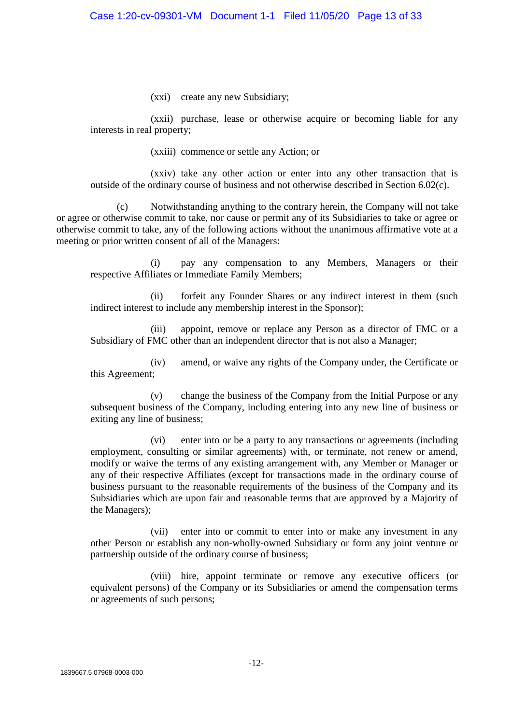(xxi) create any new Subsidiary;

(xxii) purchase, lease or otherwise acquire or becoming liable for any interests in real property;

(xxiii) commence or settle any Action; or

(xxiv) take any other action or enter into any other transaction that is outside of the ordinary course of business and not otherwise described in Section 6.02(c).

(c) Notwithstanding anything to the contrary herein, the Company will not take or agree or otherwise commit to take, nor cause or permit any of its Subsidiaries to take or agree or otherwise commit to take, any of the following actions without the unanimous affirmative vote at a meeting or prior written consent of all of the Managers:

(i) pay any compensation to any Members, Managers or their respective Affiliates or Immediate Family Members;

(ii) forfeit any Founder Shares or any indirect interest in them (such indirect interest to include any membership interest in the Sponsor);

(iii) appoint, remove or replace any Person as a director of FMC or a Subsidiary of FMC other than an independent director that is not also a Manager;

(iv) amend, or waive any rights of the Company under, the Certificate or this Agreement;

(v) change the business of the Company from the Initial Purpose or any subsequent business of the Company, including entering into any new line of business or exiting any line of business;

(vi) enter into or be a party to any transactions or agreements (including employment, consulting or similar agreements) with, or terminate, not renew or amend, modify or waive the terms of any existing arrangement with, any Member or Manager or any of their respective Affiliates (except for transactions made in the ordinary course of business pursuant to the reasonable requirements of the business of the Company and its Subsidiaries which are upon fair and reasonable terms that are approved by a Majority of the Managers);

(vii) enter into or commit to enter into or make any investment in any other Person or establish any non-wholly-owned Subsidiary or form any joint venture or partnership outside of the ordinary course of business;

(viii) hire, appoint terminate or remove any executive officers (or equivalent persons) of the Company or its Subsidiaries or amend the compensation terms or agreements of such persons;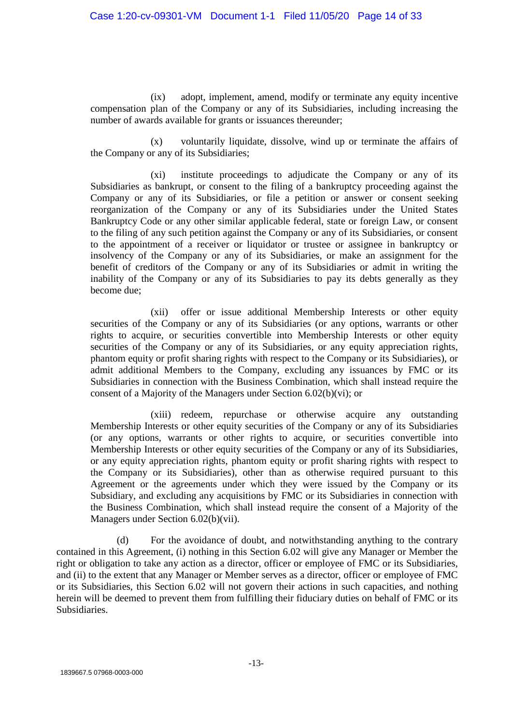(ix) adopt, implement, amend, modify or terminate any equity incentive compensation plan of the Company or any of its Subsidiaries, including increasing the number of awards available for grants or issuances thereunder;

(x) voluntarily liquidate, dissolve, wind up or terminate the affairs of the Company or any of its Subsidiaries;

(xi) institute proceedings to adjudicate the Company or any of its Subsidiaries as bankrupt, or consent to the filing of a bankruptcy proceeding against the Company or any of its Subsidiaries, or file a petition or answer or consent seeking reorganization of the Company or any of its Subsidiaries under the United States Bankruptcy Code or any other similar applicable federal, state or foreign Law, or consent to the filing of any such petition against the Company or any of its Subsidiaries, or consent to the appointment of a receiver or liquidator or trustee or assignee in bankruptcy or insolvency of the Company or any of its Subsidiaries, or make an assignment for the benefit of creditors of the Company or any of its Subsidiaries or admit in writing the inability of the Company or any of its Subsidiaries to pay its debts generally as they become due;

(xii) offer or issue additional Membership Interests or other equity securities of the Company or any of its Subsidiaries (or any options, warrants or other rights to acquire, or securities convertible into Membership Interests or other equity securities of the Company or any of its Subsidiaries, or any equity appreciation rights, phantom equity or profit sharing rights with respect to the Company or its Subsidiaries), or admit additional Members to the Company, excluding any issuances by FMC or its Subsidiaries in connection with the Business Combination, which shall instead require the consent of a Majority of the Managers under Section 6.02(b)(vi); or

(xiii) redeem, repurchase or otherwise acquire any outstanding Membership Interests or other equity securities of the Company or any of its Subsidiaries (or any options, warrants or other rights to acquire, or securities convertible into Membership Interests or other equity securities of the Company or any of its Subsidiaries, or any equity appreciation rights, phantom equity or profit sharing rights with respect to the Company or its Subsidiaries), other than as otherwise required pursuant to this Agreement or the agreements under which they were issued by the Company or its Subsidiary, and excluding any acquisitions by FMC or its Subsidiaries in connection with the Business Combination, which shall instead require the consent of a Majority of the Managers under Section 6.02(b)(vii).

(d) For the avoidance of doubt, and notwithstanding anything to the contrary contained in this Agreement, (i) nothing in this Section 6.02 will give any Manager or Member the right or obligation to take any action as a director, officer or employee of FMC or its Subsidiaries, and (ii) to the extent that any Manager or Member serves as a director, officer or employee of FMC or its Subsidiaries, this Section 6.02 will not govern their actions in such capacities, and nothing herein will be deemed to prevent them from fulfilling their fiduciary duties on behalf of FMC or its Subsidiaries.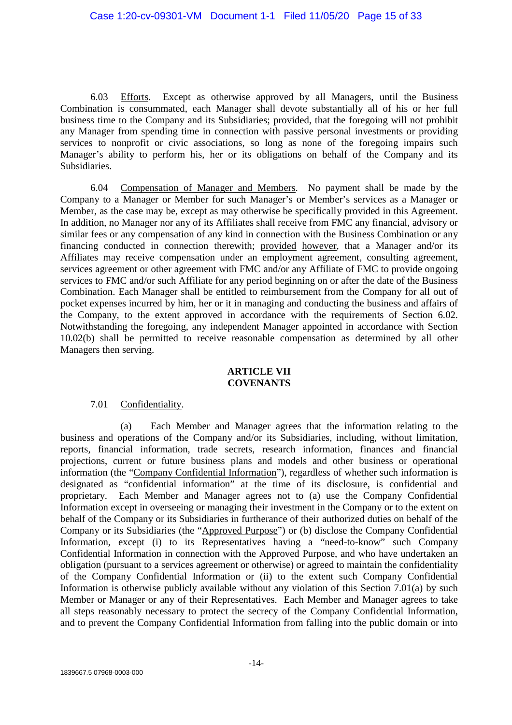6.03 Efforts. Except as otherwise approved by all Managers, until the Business Combination is consummated, each Manager shall devote substantially all of his or her full business time to the Company and its Subsidiaries; provided, that the foregoing will not prohibit any Manager from spending time in connection with passive personal investments or providing services to nonprofit or civic associations, so long as none of the foregoing impairs such Manager's ability to perform his, her or its obligations on behalf of the Company and its Subsidiaries.

6.04 Compensation of Manager and Members. No payment shall be made by the Company to a Manager or Member for such Manager's or Member's services as a Manager or Member, as the case may be, except as may otherwise be specifically provided in this Agreement. In addition, no Manager nor any of its Affiliates shall receive from FMC any financial, advisory or similar fees or any compensation of any kind in connection with the Business Combination or any financing conducted in connection therewith; provided however, that a Manager and/or its Affiliates may receive compensation under an employment agreement, consulting agreement, services agreement or other agreement with FMC and/or any Affiliate of FMC to provide ongoing services to FMC and/or such Affiliate for any period beginning on or after the date of the Business Combination. Each Manager shall be entitled to reimbursement from the Company for all out of pocket expenses incurred by him, her or it in managing and conducting the business and affairs of the Company, to the extent approved in accordance with the requirements of Section 6.02. Notwithstanding the foregoing, any independent Manager appointed in accordance with Section 10.02(b) shall be permitted to receive reasonable compensation as determined by all other Managers then serving.

# **ARTICLE VII COVENANTS**

# 7.01 Confidentiality.

(a) Each Member and Manager agrees that the information relating to the business and operations of the Company and/or its Subsidiaries, including, without limitation, reports, financial information, trade secrets, research information, finances and financial projections, current or future business plans and models and other business or operational information (the "Company Confidential Information"), regardless of whether such information is designated as "confidential information" at the time of its disclosure, is confidential and proprietary. Each Member and Manager agrees not to (a) use the Company Confidential Information except in overseeing or managing their investment in the Company or to the extent on behalf of the Company or its Subsidiaries in furtherance of their authorized duties on behalf of the Company or its Subsidiaries (the "Approved Purpose") or (b) disclose the Company Confidential Information, except (i) to its Representatives having a "need-to-know" such Company Confidential Information in connection with the Approved Purpose, and who have undertaken an obligation (pursuant to a services agreement or otherwise) or agreed to maintain the confidentiality of the Company Confidential Information or (ii) to the extent such Company Confidential Information is otherwise publicly available without any violation of this Section 7.01(a) by such Member or Manager or any of their Representatives. Each Member and Manager agrees to take all steps reasonably necessary to protect the secrecy of the Company Confidential Information, and to prevent the Company Confidential Information from falling into the public domain or into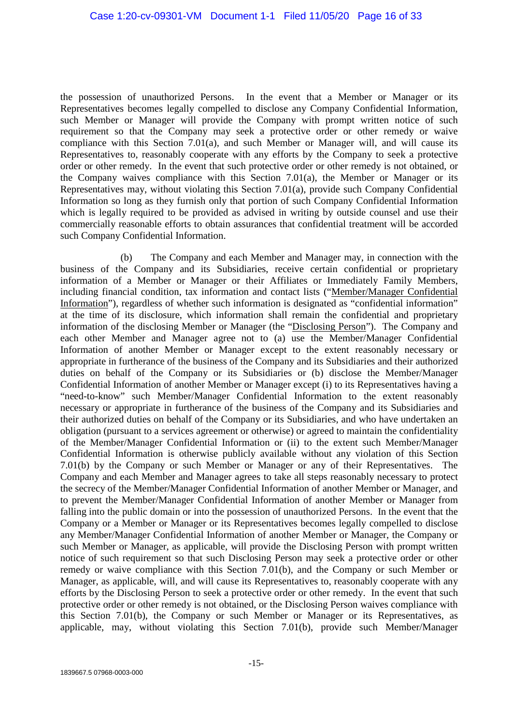the possession of unauthorized Persons. In the event that a Member or Manager or its Representatives becomes legally compelled to disclose any Company Confidential Information, such Member or Manager will provide the Company with prompt written notice of such requirement so that the Company may seek a protective order or other remedy or waive compliance with this Section 7.01(a), and such Member or Manager will, and will cause its Representatives to, reasonably cooperate with any efforts by the Company to seek a protective order or other remedy. In the event that such protective order or other remedy is not obtained, or the Company waives compliance with this Section 7.01(a), the Member or Manager or its Representatives may, without violating this Section 7.01(a), provide such Company Confidential Information so long as they furnish only that portion of such Company Confidential Information which is legally required to be provided as advised in writing by outside counsel and use their commercially reasonable efforts to obtain assurances that confidential treatment will be accorded such Company Confidential Information.

(b) The Company and each Member and Manager may, in connection with the business of the Company and its Subsidiaries, receive certain confidential or proprietary information of a Member or Manager or their Affiliates or Immediately Family Members, including financial condition, tax information and contact lists ("Member/Manager Confidential Information"), regardless of whether such information is designated as "confidential information" at the time of its disclosure, which information shall remain the confidential and proprietary information of the disclosing Member or Manager (the "Disclosing Person"). The Company and each other Member and Manager agree not to (a) use the Member/Manager Confidential Information of another Member or Manager except to the extent reasonably necessary or appropriate in furtherance of the business of the Company and its Subsidiaries and their authorized duties on behalf of the Company or its Subsidiaries or (b) disclose the Member/Manager Confidential Information of another Member or Manager except (i) to its Representatives having a "need-to-know" such Member/Manager Confidential Information to the extent reasonably necessary or appropriate in furtherance of the business of the Company and its Subsidiaries and their authorized duties on behalf of the Company or its Subsidiaries, and who have undertaken an obligation (pursuant to a services agreement or otherwise) or agreed to maintain the confidentiality of the Member/Manager Confidential Information or (ii) to the extent such Member/Manager Confidential Information is otherwise publicly available without any violation of this Section 7.01(b) by the Company or such Member or Manager or any of their Representatives. The Company and each Member and Manager agrees to take all steps reasonably necessary to protect the secrecy of the Member/Manager Confidential Information of another Member or Manager, and to prevent the Member/Manager Confidential Information of another Member or Manager from falling into the public domain or into the possession of unauthorized Persons. In the event that the Company or a Member or Manager or its Representatives becomes legally compelled to disclose any Member/Manager Confidential Information of another Member or Manager, the Company or such Member or Manager, as applicable, will provide the Disclosing Person with prompt written notice of such requirement so that such Disclosing Person may seek a protective order or other remedy or waive compliance with this Section 7.01(b), and the Company or such Member or Manager, as applicable, will, and will cause its Representatives to, reasonably cooperate with any efforts by the Disclosing Person to seek a protective order or other remedy. In the event that such protective order or other remedy is not obtained, or the Disclosing Person waives compliance with this Section 7.01(b), the Company or such Member or Manager or its Representatives, as applicable, may, without violating this Section 7.01(b), provide such Member/Manager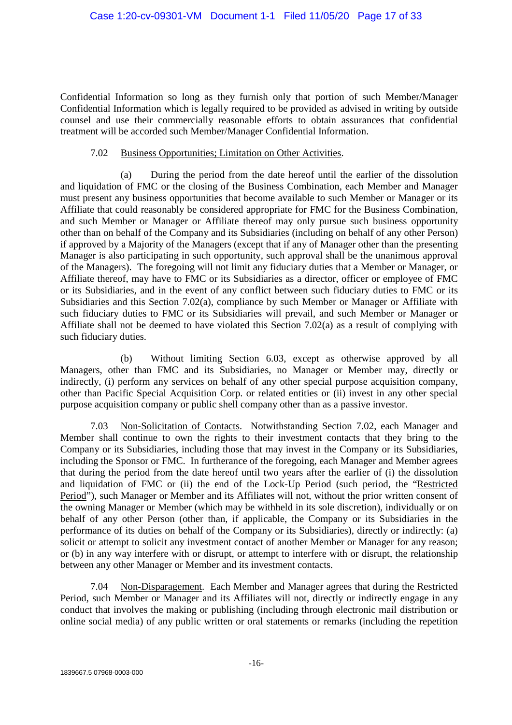Confidential Information so long as they furnish only that portion of such Member/Manager Confidential Information which is legally required to be provided as advised in writing by outside counsel and use their commercially reasonable efforts to obtain assurances that confidential treatment will be accorded such Member/Manager Confidential Information.

## 7.02 Business Opportunities; Limitation on Other Activities.

(a) During the period from the date hereof until the earlier of the dissolution and liquidation of FMC or the closing of the Business Combination, each Member and Manager must present any business opportunities that become available to such Member or Manager or its Affiliate that could reasonably be considered appropriate for FMC for the Business Combination, and such Member or Manager or Affiliate thereof may only pursue such business opportunity other than on behalf of the Company and its Subsidiaries (including on behalf of any other Person) if approved by a Majority of the Managers (except that if any of Manager other than the presenting Manager is also participating in such opportunity, such approval shall be the unanimous approval of the Managers). The foregoing will not limit any fiduciary duties that a Member or Manager, or Affiliate thereof, may have to FMC or its Subsidiaries as a director, officer or employee of FMC or its Subsidiaries, and in the event of any conflict between such fiduciary duties to FMC or its Subsidiaries and this Section 7.02(a), compliance by such Member or Manager or Affiliate with such fiduciary duties to FMC or its Subsidiaries will prevail, and such Member or Manager or Affiliate shall not be deemed to have violated this Section 7.02(a) as a result of complying with such fiduciary duties.

(b) Without limiting Section 6.03, except as otherwise approved by all Managers, other than FMC and its Subsidiaries, no Manager or Member may, directly or indirectly, (i) perform any services on behalf of any other special purpose acquisition company, other than Pacific Special Acquisition Corp. or related entities or (ii) invest in any other special purpose acquisition company or public shell company other than as a passive investor.

7.03 Non-Solicitation of Contacts. Notwithstanding Section 7.02, each Manager and Member shall continue to own the rights to their investment contacts that they bring to the Company or its Subsidiaries, including those that may invest in the Company or its Subsidiaries, including the Sponsor or FMC. In furtherance of the foregoing, each Manager and Member agrees that during the period from the date hereof until two years after the earlier of (i) the dissolution and liquidation of FMC or (ii) the end of the Lock-Up Period (such period, the "Restricted Period"), such Manager or Member and its Affiliates will not, without the prior written consent of the owning Manager or Member (which may be withheld in its sole discretion), individually or on behalf of any other Person (other than, if applicable, the Company or its Subsidiaries in the performance of its duties on behalf of the Company or its Subsidiaries), directly or indirectly: (a) solicit or attempt to solicit any investment contact of another Member or Manager for any reason; or (b) in any way interfere with or disrupt, or attempt to interfere with or disrupt, the relationship between any other Manager or Member and its investment contacts.

7.04 Non-Disparagement. Each Member and Manager agrees that during the Restricted Period, such Member or Manager and its Affiliates will not, directly or indirectly engage in any conduct that involves the making or publishing (including through electronic mail distribution or online social media) of any public written or oral statements or remarks (including the repetition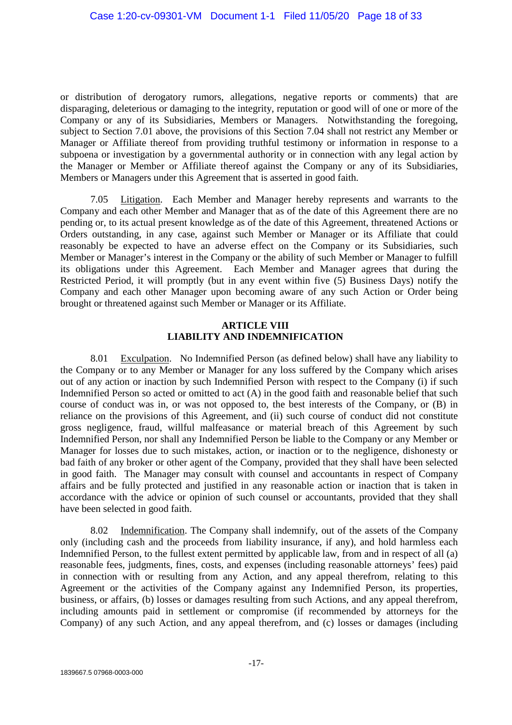or distribution of derogatory rumors, allegations, negative reports or comments) that are disparaging, deleterious or damaging to the integrity, reputation or good will of one or more of the Company or any of its Subsidiaries, Members or Managers. Notwithstanding the foregoing, subject to Section 7.01 above, the provisions of this Section 7.04 shall not restrict any Member or Manager or Affiliate thereof from providing truthful testimony or information in response to a subpoena or investigation by a governmental authority or in connection with any legal action by the Manager or Member or Affiliate thereof against the Company or any of its Subsidiaries, Members or Managers under this Agreement that is asserted in good faith.

7.05 Litigation. Each Member and Manager hereby represents and warrants to the Company and each other Member and Manager that as of the date of this Agreement there are no pending or, to its actual present knowledge as of the date of this Agreement, threatened Actions or Orders outstanding, in any case, against such Member or Manager or its Affiliate that could reasonably be expected to have an adverse effect on the Company or its Subsidiaries, such Member or Manager's interest in the Company or the ability of such Member or Manager to fulfill its obligations under this Agreement. Each Member and Manager agrees that during the Restricted Period, it will promptly (but in any event within five (5) Business Days) notify the Company and each other Manager upon becoming aware of any such Action or Order being brought or threatened against such Member or Manager or its Affiliate.

# **ARTICLE VIII LIABILITY AND INDEMNIFICATION**

8.01 Exculpation. No Indemnified Person (as defined below) shall have any liability to the Company or to any Member or Manager for any loss suffered by the Company which arises out of any action or inaction by such Indemnified Person with respect to the Company (i) if such Indemnified Person so acted or omitted to act (A) in the good faith and reasonable belief that such course of conduct was in, or was not opposed to, the best interests of the Company, or (B) in reliance on the provisions of this Agreement, and (ii) such course of conduct did not constitute gross negligence, fraud, willful malfeasance or material breach of this Agreement by such Indemnified Person, nor shall any Indemnified Person be liable to the Company or any Member or Manager for losses due to such mistakes, action, or inaction or to the negligence, dishonesty or bad faith of any broker or other agent of the Company, provided that they shall have been selected in good faith. The Manager may consult with counsel and accountants in respect of Company affairs and be fully protected and justified in any reasonable action or inaction that is taken in accordance with the advice or opinion of such counsel or accountants, provided that they shall have been selected in good faith.

8.02 Indemnification. The Company shall indemnify, out of the assets of the Company only (including cash and the proceeds from liability insurance, if any), and hold harmless each Indemnified Person, to the fullest extent permitted by applicable law, from and in respect of all (a) reasonable fees, judgments, fines, costs, and expenses (including reasonable attorneys' fees) paid in connection with or resulting from any Action, and any appeal therefrom, relating to this Agreement or the activities of the Company against any Indemnified Person, its properties, business, or affairs, (b) losses or damages resulting from such Actions, and any appeal therefrom, including amounts paid in settlement or compromise (if recommended by attorneys for the Company) of any such Action, and any appeal therefrom, and (c) losses or damages (including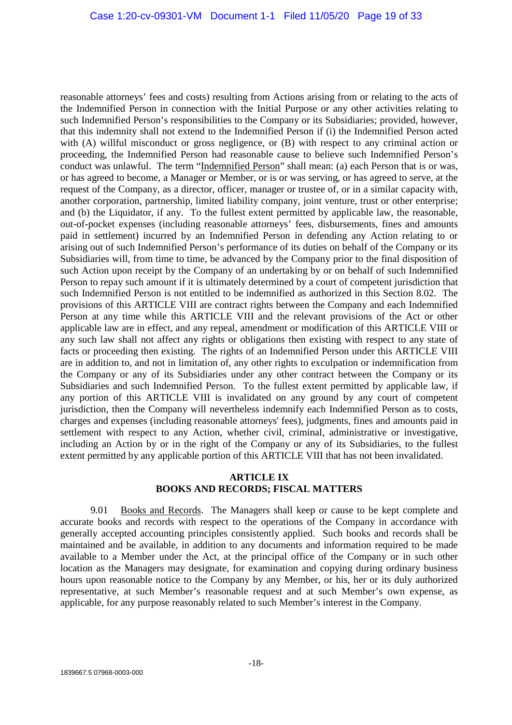reasonable attorneys' fees and costs) resulting from Actions arising from or relating to the acts of the Indemnified Person in connection with the Initial Purpose or any other activities relating to such Indemnified Person's responsibilities to the Company or its Subsidiaries; provided, however, that this indemnity shall not extend to the Indemnified Person if (i) the Indemnified Person acted with (A) willful misconduct or gross negligence, or (B) with respect to any criminal action or proceeding, the Indemnified Person had reasonable cause to believe such Indemnified Person's conduct was unlawful. The term "Indemnified Person" shall mean: (a) each Person that is or was, or has agreed to become, a Manager or Member, or is or was serving, or has agreed to serve, at the request of the Company, as a director, officer, manager or trustee of, or in a similar capacity with, another corporation, partnership, limited liability company, joint venture, trust or other enterprise; and (b) the Liquidator, if any. To the fullest extent permitted by applicable law, the reasonable, out-of-pocket expenses (including reasonable attorneys' fees, disbursements, fines and amounts paid in settlement) incurred by an Indemnified Person in defending any Action relating to or arising out of such Indemnified Person's performance of its duties on behalf of the Company or its Subsidiaries will, from time to time, be advanced by the Company prior to the final disposition of such Action upon receipt by the Company of an undertaking by or on behalf of such Indemnified Person to repay such amount if it is ultimately determined by a court of competent jurisdiction that such Indemnified Person is not entitled to be indemnified as authorized in this Section 8.02. The provisions of this ARTICLE VIII are contract rights between the Company and each Indemnified Person at any time while this ARTICLE VIII and the relevant provisions of the Act or other applicable law are in effect, and any repeal, amendment or modification of this ARTICLE VIII or any such law shall not affect any rights or obligations then existing with respect to any state of facts or proceeding then existing. The rights of an Indemnified Person under this ARTICLE VIII are in addition to, and not in limitation of, any other rights to exculpation or indemnification from the Company or any of its Subsidiaries under any other contract between the Company or its Subsidiaries and such Indemnified Person. To the fullest extent permitted by applicable law, if any portion of this ARTICLE VIII is invalidated on any ground by any court of competent jurisdiction, then the Company will nevertheless indemnify each Indemnified Person as to costs, charges and expenses (including reasonable attorneys' fees), judgments, fines and amounts paid in settlement with respect to any Action, whether civil, criminal, administrative or investigative, including an Action by or in the right of the Company or any of its Subsidiaries, to the fullest extent permitted by any applicable portion of this ARTICLE VIII that has not been invalidated.

# **ARTICLE IX BOOKS AND RECORDS; FISCAL MATTERS**

9.01 Books and Records. The Managers shall keep or cause to be kept complete and accurate books and records with respect to the operations of the Company in accordance with generally accepted accounting principles consistently applied. Such books and records shall be maintained and be available, in addition to any documents and information required to be made available to a Member under the Act, at the principal office of the Company or in such other location as the Managers may designate, for examination and copying during ordinary business hours upon reasonable notice to the Company by any Member, or his, her or its duly authorized representative, at such Member's reasonable request and at such Member's own expense, as applicable, for any purpose reasonably related to such Member's interest in the Company.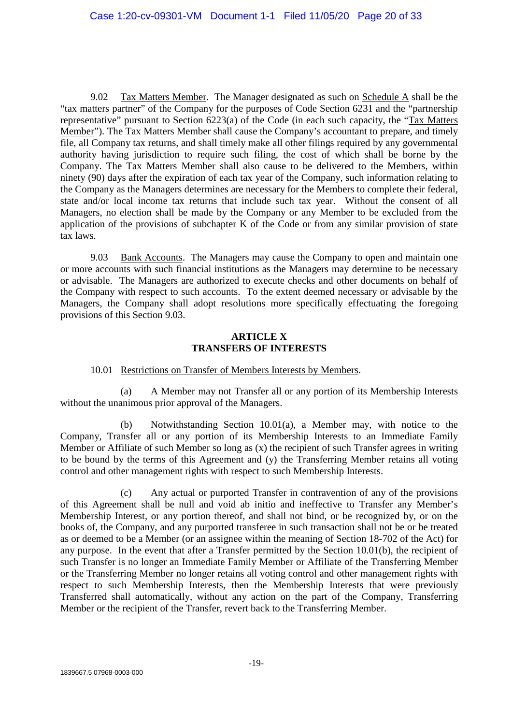9.02 Tax Matters Member. The Manager designated as such on Schedule A shall be the "tax matters partner" of the Company for the purposes of Code Section 6231 and the "partnership representative" pursuant to Section 6223(a) of the Code (in each such capacity, the "Tax Matters Member"). The Tax Matters Member shall cause the Company's accountant to prepare, and timely file, all Company tax returns, and shall timely make all other filings required by any governmental authority having jurisdiction to require such filing, the cost of which shall be borne by the Company. The Tax Matters Member shall also cause to be delivered to the Members, within ninety (90) days after the expiration of each tax year of the Company, such information relating to the Company as the Managers determines are necessary for the Members to complete their federal, state and/or local income tax returns that include such tax year. Without the consent of all Managers, no election shall be made by the Company or any Member to be excluded from the application of the provisions of subchapter K of the Code or from any similar provision of state tax laws.

9.03 Bank Accounts. The Managers may cause the Company to open and maintain one or more accounts with such financial institutions as the Managers may determine to be necessary or advisable. The Managers are authorized to execute checks and other documents on behalf of the Company with respect to such accounts. To the extent deemed necessary or advisable by the Managers, the Company shall adopt resolutions more specifically effectuating the foregoing provisions of this Section 9.03.

# **ARTICLE X TRANSFERS OF INTERESTS**

#### 10.01 Restrictions on Transfer of Members Interests by Members.

(a) A Member may not Transfer all or any portion of its Membership Interests without the unanimous prior approval of the Managers.

(b) Notwithstanding Section 10.01(a), a Member may, with notice to the Company, Transfer all or any portion of its Membership Interests to an Immediate Family Member or Affiliate of such Member so long as (x) the recipient of such Transfer agrees in writing to be bound by the terms of this Agreement and (y) the Transferring Member retains all voting control and other management rights with respect to such Membership Interests.

(c) Any actual or purported Transfer in contravention of any of the provisions of this Agreement shall be null and void ab initio and ineffective to Transfer any Member's Membership Interest, or any portion thereof, and shall not bind, or be recognized by, or on the books of, the Company, and any purported transferee in such transaction shall not be or be treated as or deemed to be a Member (or an assignee within the meaning of Section 18-702 of the Act) for any purpose. In the event that after a Transfer permitted by the Section 10.01(b), the recipient of such Transfer is no longer an Immediate Family Member or Affiliate of the Transferring Member or the Transferring Member no longer retains all voting control and other management rights with respect to such Membership Interests, then the Membership Interests that were previously Transferred shall automatically, without any action on the part of the Company, Transferring Member or the recipient of the Transfer, revert back to the Transferring Member.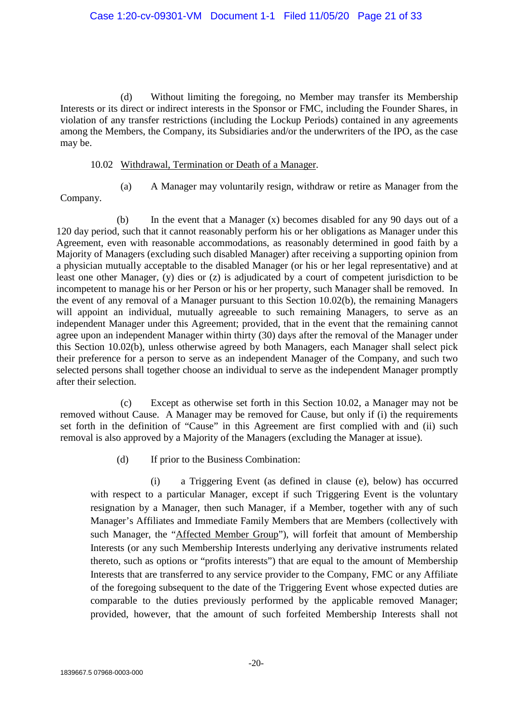(d) Without limiting the foregoing, no Member may transfer its Membership Interests or its direct or indirect interests in the Sponsor or FMC, including the Founder Shares, in violation of any transfer restrictions (including the Lockup Periods) contained in any agreements among the Members, the Company, its Subsidiaries and/or the underwriters of the IPO, as the case may be.

# 10.02 Withdrawal, Termination or Death of a Manager.

- 
- (a) A Manager may voluntarily resign, withdraw or retire as Manager from the

Company.

(b) In the event that a Manager (x) becomes disabled for any 90 days out of a 120 day period, such that it cannot reasonably perform his or her obligations as Manager under this Agreement, even with reasonable accommodations, as reasonably determined in good faith by a Majority of Managers (excluding such disabled Manager) after receiving a supporting opinion from a physician mutually acceptable to the disabled Manager (or his or her legal representative) and at least one other Manager, (y) dies or (z) is adjudicated by a court of competent jurisdiction to be incompetent to manage his or her Person or his or her property, such Manager shall be removed. In the event of any removal of a Manager pursuant to this Section 10.02(b), the remaining Managers will appoint an individual, mutually agreeable to such remaining Managers, to serve as an independent Manager under this Agreement; provided, that in the event that the remaining cannot agree upon an independent Manager within thirty (30) days after the removal of the Manager under this Section 10.02(b), unless otherwise agreed by both Managers, each Manager shall select pick their preference for a person to serve as an independent Manager of the Company, and such two selected persons shall together choose an individual to serve as the independent Manager promptly after their selection.

(c) Except as otherwise set forth in this Section 10.02, a Manager may not be removed without Cause. A Manager may be removed for Cause, but only if (i) the requirements set forth in the definition of "Cause" in this Agreement are first complied with and (ii) such removal is also approved by a Majority of the Managers (excluding the Manager at issue).

(d) If prior to the Business Combination:

(i) a Triggering Event (as defined in clause (e), below) has occurred with respect to a particular Manager, except if such Triggering Event is the voluntary resignation by a Manager, then such Manager, if a Member, together with any of such Manager's Affiliates and Immediate Family Members that are Members (collectively with such Manager, the "Affected Member Group"), will forfeit that amount of Membership Interests (or any such Membership Interests underlying any derivative instruments related thereto, such as options or "profits interests") that are equal to the amount of Membership Interests that are transferred to any service provider to the Company, FMC or any Affiliate of the foregoing subsequent to the date of the Triggering Event whose expected duties are comparable to the duties previously performed by the applicable removed Manager; provided, however, that the amount of such forfeited Membership Interests shall not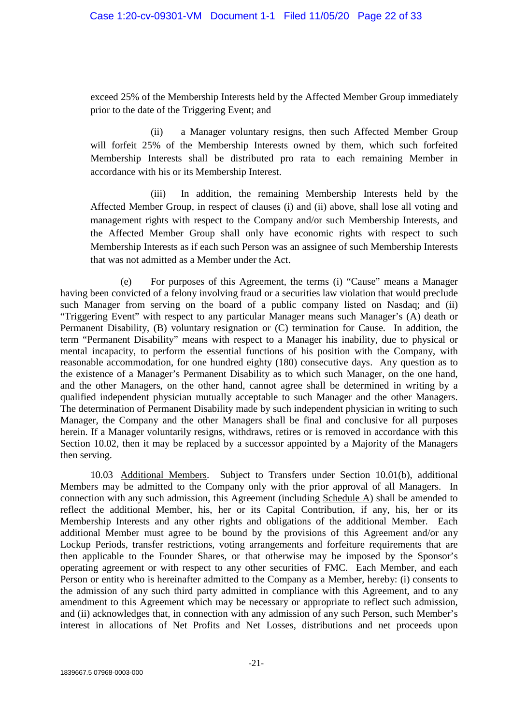exceed 25% of the Membership Interests held by the Affected Member Group immediately prior to the date of the Triggering Event; and

(ii) a Manager voluntary resigns, then such Affected Member Group will forfeit 25% of the Membership Interests owned by them, which such forfeited Membership Interests shall be distributed pro rata to each remaining Member in accordance with his or its Membership Interest.

(iii) In addition, the remaining Membership Interests held by the Affected Member Group, in respect of clauses (i) and (ii) above, shall lose all voting and management rights with respect to the Company and/or such Membership Interests, and the Affected Member Group shall only have economic rights with respect to such Membership Interests as if each such Person was an assignee of such Membership Interests that was not admitted as a Member under the Act.

(e) For purposes of this Agreement, the terms (i) "Cause" means a Manager having been convicted of a felony involving fraud or a securities law violation that would preclude such Manager from serving on the board of a public company listed on Nasdaq; and (ii) "Triggering Event" with respect to any particular Manager means such Manager's (A) death or Permanent Disability, (B) voluntary resignation or (C) termination for Cause. In addition, the term "Permanent Disability" means with respect to a Manager his inability, due to physical or mental incapacity, to perform the essential functions of his position with the Company, with reasonable accommodation, for one hundred eighty (180) consecutive days. Any question as to the existence of a Manager's Permanent Disability as to which such Manager, on the one hand, and the other Managers, on the other hand, cannot agree shall be determined in writing by a qualified independent physician mutually acceptable to such Manager and the other Managers. The determination of Permanent Disability made by such independent physician in writing to such Manager, the Company and the other Managers shall be final and conclusive for all purposes herein. If a Manager voluntarily resigns, withdraws, retires or is removed in accordance with this Section 10.02, then it may be replaced by a successor appointed by a Majority of the Managers then serving.

10.03 Additional Members. Subject to Transfers under Section 10.01(b), additional Members may be admitted to the Company only with the prior approval of all Managers. In connection with any such admission, this Agreement (including Schedule A) shall be amended to reflect the additional Member, his, her or its Capital Contribution, if any, his, her or its Membership Interests and any other rights and obligations of the additional Member. Each additional Member must agree to be bound by the provisions of this Agreement and/or any Lockup Periods, transfer restrictions, voting arrangements and forfeiture requirements that are then applicable to the Founder Shares, or that otherwise may be imposed by the Sponsor's operating agreement or with respect to any other securities of FMC. Each Member, and each Person or entity who is hereinafter admitted to the Company as a Member, hereby: (i) consents to the admission of any such third party admitted in compliance with this Agreement, and to any amendment to this Agreement which may be necessary or appropriate to reflect such admission, and (ii) acknowledges that, in connection with any admission of any such Person, such Member's interest in allocations of Net Profits and Net Losses, distributions and net proceeds upon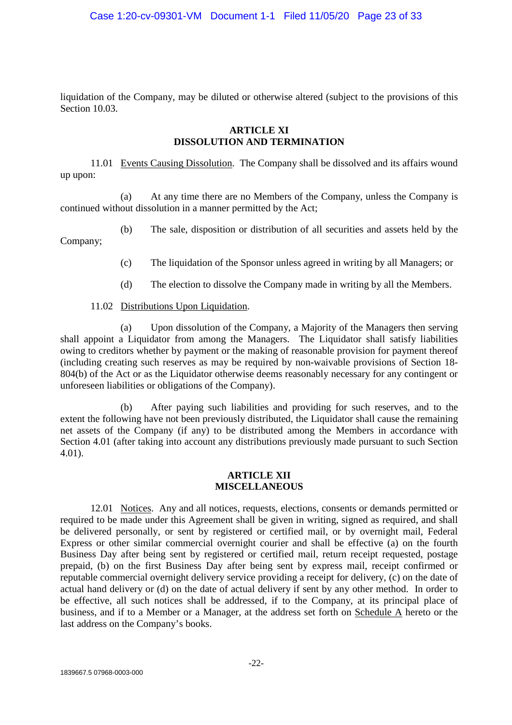liquidation of the Company, may be diluted or otherwise altered (subject to the provisions of this Section 10.03.

# **ARTICLE XI DISSOLUTION AND TERMINATION**

11.01 Events Causing Dissolution. The Company shall be dissolved and its affairs wound up upon:

(a) At any time there are no Members of the Company, unless the Company is continued without dissolution in a manner permitted by the Act;

(b) The sale, disposition or distribution of all securities and assets held by the Company;

(c) The liquidation of the Sponsor unless agreed in writing by all Managers; or

- (d) The election to dissolve the Company made in writing by all the Members.
- 11.02 Distributions Upon Liquidation.

(a) Upon dissolution of the Company, a Majority of the Managers then serving shall appoint a Liquidator from among the Managers. The Liquidator shall satisfy liabilities owing to creditors whether by payment or the making of reasonable provision for payment thereof (including creating such reserves as may be required by non-waivable provisions of Section 18- 804(b) of the Act or as the Liquidator otherwise deems reasonably necessary for any contingent or unforeseen liabilities or obligations of the Company).

(b) After paying such liabilities and providing for such reserves, and to the extent the following have not been previously distributed, the Liquidator shall cause the remaining net assets of the Company (if any) to be distributed among the Members in accordance with Section 4.01 (after taking into account any distributions previously made pursuant to such Section 4.01).

#### **ARTICLE XII MISCELLANEOUS**

12.01 Notices. Any and all notices, requests, elections, consents or demands permitted or required to be made under this Agreement shall be given in writing, signed as required, and shall be delivered personally, or sent by registered or certified mail, or by overnight mail, Federal Express or other similar commercial overnight courier and shall be effective (a) on the fourth Business Day after being sent by registered or certified mail, return receipt requested, postage prepaid, (b) on the first Business Day after being sent by express mail, receipt confirmed or reputable commercial overnight delivery service providing a receipt for delivery, (c) on the date of actual hand delivery or (d) on the date of actual delivery if sent by any other method. In order to be effective, all such notices shall be addressed, if to the Company, at its principal place of business, and if to a Member or a Manager, at the address set forth on Schedule A hereto or the last address on the Company's books.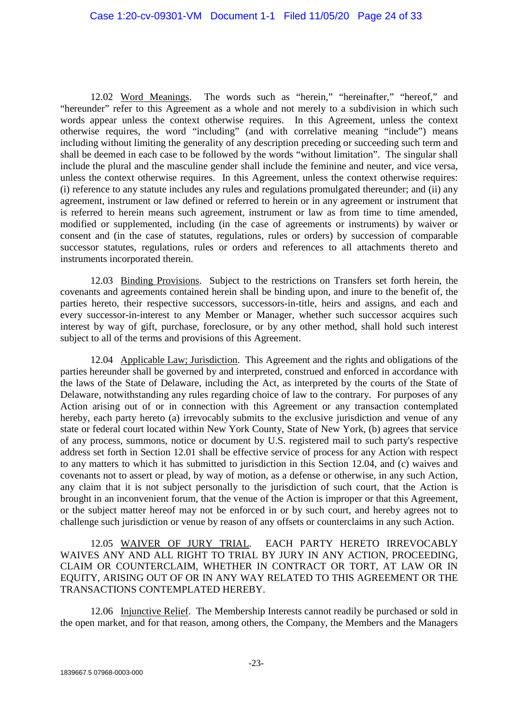12.02 Word Meanings. The words such as "herein," "hereinafter," "hereof," and "hereunder" refer to this Agreement as a whole and not merely to a subdivision in which such words appear unless the context otherwise requires. In this Agreement, unless the context otherwise requires, the word "including" (and with correlative meaning "include") means including without limiting the generality of any description preceding or succeeding such term and shall be deemed in each case to be followed by the words "without limitation". The singular shall include the plural and the masculine gender shall include the feminine and neuter, and vice versa, unless the context otherwise requires. In this Agreement, unless the context otherwise requires: (i) reference to any statute includes any rules and regulations promulgated thereunder; and (ii) any agreement, instrument or law defined or referred to herein or in any agreement or instrument that is referred to herein means such agreement, instrument or law as from time to time amended, modified or supplemented, including (in the case of agreements or instruments) by waiver or consent and (in the case of statutes, regulations, rules or orders) by succession of comparable successor statutes, regulations, rules or orders and references to all attachments thereto and instruments incorporated therein.

12.03 Binding Provisions. Subject to the restrictions on Transfers set forth herein, the covenants and agreements contained herein shall be binding upon, and inure to the benefit of, the parties hereto, their respective successors, successors-in-title, heirs and assigns, and each and every successor-in-interest to any Member or Manager, whether such successor acquires such interest by way of gift, purchase, foreclosure, or by any other method, shall hold such interest subject to all of the terms and provisions of this Agreement.

12.04 Applicable Law; Jurisdiction. This Agreement and the rights and obligations of the parties hereunder shall be governed by and interpreted, construed and enforced in accordance with the laws of the State of Delaware, including the Act, as interpreted by the courts of the State of Delaware, notwithstanding any rules regarding choice of law to the contrary. For purposes of any Action arising out of or in connection with this Agreement or any transaction contemplated hereby, each party hereto (a) irrevocably submits to the exclusive jurisdiction and venue of any state or federal court located within New York County, State of New York, (b) agrees that service of any process, summons, notice or document by U.S. registered mail to such party's respective address set forth in Section 12.01 shall be effective service of process for any Action with respect to any matters to which it has submitted to jurisdiction in this Section 12.04, and (c) waives and covenants not to assert or plead, by way of motion, as a defense or otherwise, in any such Action, any claim that it is not subject personally to the jurisdiction of such court, that the Action is brought in an inconvenient forum, that the venue of the Action is improper or that this Agreement, or the subject matter hereof may not be enforced in or by such court, and hereby agrees not to challenge such jurisdiction or venue by reason of any offsets or counterclaims in any such Action.

12.05 WAIVER OF JURY TRIAL. EACH PARTY HERETO IRREVOCABLY WAIVES ANY AND ALL RIGHT TO TRIAL BY JURY IN ANY ACTION, PROCEEDING, CLAIM OR COUNTERCLAIM, WHETHER IN CONTRACT OR TORT, AT LAW OR IN EQUITY, ARISING OUT OF OR IN ANY WAY RELATED TO THIS AGREEMENT OR THE TRANSACTIONS CONTEMPLATED HEREBY.

12.06 Injunctive Relief. The Membership Interests cannot readily be purchased or sold in the open market, and for that reason, among others, the Company, the Members and the Managers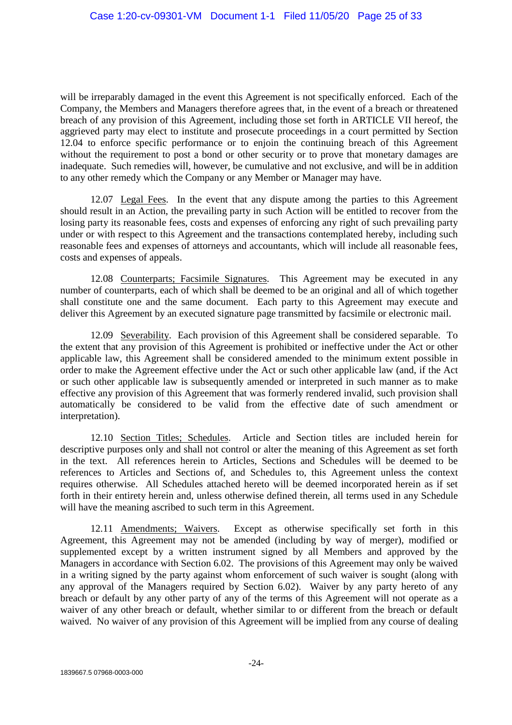will be irreparably damaged in the event this Agreement is not specifically enforced. Each of the Company, the Members and Managers therefore agrees that, in the event of a breach or threatened breach of any provision of this Agreement, including those set forth in ARTICLE VII hereof, the aggrieved party may elect to institute and prosecute proceedings in a court permitted by Section 12.04 to enforce specific performance or to enjoin the continuing breach of this Agreement without the requirement to post a bond or other security or to prove that monetary damages are inadequate. Such remedies will, however, be cumulative and not exclusive, and will be in addition to any other remedy which the Company or any Member or Manager may have.

12.07 Legal Fees. In the event that any dispute among the parties to this Agreement should result in an Action, the prevailing party in such Action will be entitled to recover from the losing party its reasonable fees, costs and expenses of enforcing any right of such prevailing party under or with respect to this Agreement and the transactions contemplated hereby, including such reasonable fees and expenses of attorneys and accountants, which will include all reasonable fees, costs and expenses of appeals.

12.08 Counterparts; Facsimile Signatures. This Agreement may be executed in any number of counterparts, each of which shall be deemed to be an original and all of which together shall constitute one and the same document. Each party to this Agreement may execute and deliver this Agreement by an executed signature page transmitted by facsimile or electronic mail.

12.09 Severability. Each provision of this Agreement shall be considered separable. To the extent that any provision of this Agreement is prohibited or ineffective under the Act or other applicable law, this Agreement shall be considered amended to the minimum extent possible in order to make the Agreement effective under the Act or such other applicable law (and, if the Act or such other applicable law is subsequently amended or interpreted in such manner as to make effective any provision of this Agreement that was formerly rendered invalid, such provision shall automatically be considered to be valid from the effective date of such amendment or interpretation).

12.10 Section Titles; Schedules. Article and Section titles are included herein for descriptive purposes only and shall not control or alter the meaning of this Agreement as set forth in the text. All references herein to Articles, Sections and Schedules will be deemed to be references to Articles and Sections of, and Schedules to, this Agreement unless the context requires otherwise. All Schedules attached hereto will be deemed incorporated herein as if set forth in their entirety herein and, unless otherwise defined therein, all terms used in any Schedule will have the meaning ascribed to such term in this Agreement.

12.11 Amendments; Waivers. Except as otherwise specifically set forth in this Agreement, this Agreement may not be amended (including by way of merger), modified or supplemented except by a written instrument signed by all Members and approved by the Managers in accordance with Section 6.02. The provisions of this Agreement may only be waived in a writing signed by the party against whom enforcement of such waiver is sought (along with any approval of the Managers required by Section 6.02). Waiver by any party hereto of any breach or default by any other party of any of the terms of this Agreement will not operate as a waiver of any other breach or default, whether similar to or different from the breach or default waived. No waiver of any provision of this Agreement will be implied from any course of dealing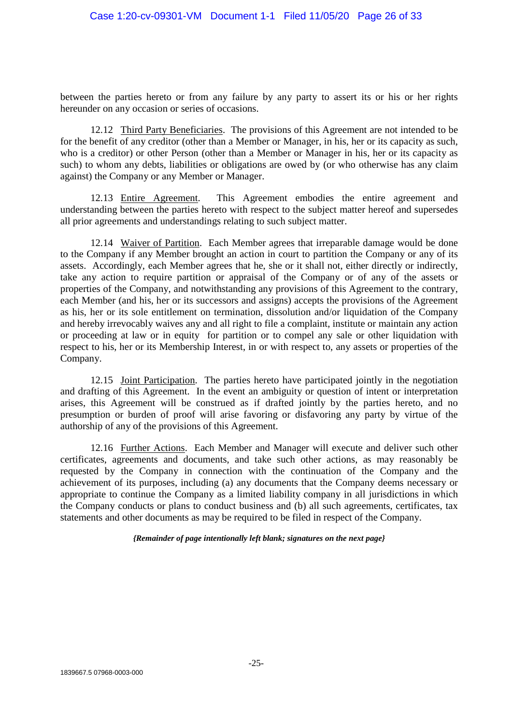between the parties hereto or from any failure by any party to assert its or his or her rights hereunder on any occasion or series of occasions.

12.12 Third Party Beneficiaries. The provisions of this Agreement are not intended to be for the benefit of any creditor (other than a Member or Manager, in his, her or its capacity as such, who is a creditor) or other Person (other than a Member or Manager in his, her or its capacity as such) to whom any debts, liabilities or obligations are owed by (or who otherwise has any claim against) the Company or any Member or Manager.

12.13 Entire Agreement. This Agreement embodies the entire agreement and understanding between the parties hereto with respect to the subject matter hereof and supersedes all prior agreements and understandings relating to such subject matter.

12.14 Waiver of Partition. Each Member agrees that irreparable damage would be done to the Company if any Member brought an action in court to partition the Company or any of its assets. Accordingly, each Member agrees that he, she or it shall not, either directly or indirectly, take any action to require partition or appraisal of the Company or of any of the assets or properties of the Company, and notwithstanding any provisions of this Agreement to the contrary, each Member (and his, her or its successors and assigns) accepts the provisions of the Agreement as his, her or its sole entitlement on termination, dissolution and/or liquidation of the Company and hereby irrevocably waives any and all right to file a complaint, institute or maintain any action or proceeding at law or in equity for partition or to compel any sale or other liquidation with respect to his, her or its Membership Interest, in or with respect to, any assets or properties of the Company.

12.15 Joint Participation. The parties hereto have participated jointly in the negotiation and drafting of this Agreement. In the event an ambiguity or question of intent or interpretation arises, this Agreement will be construed as if drafted jointly by the parties hereto, and no presumption or burden of proof will arise favoring or disfavoring any party by virtue of the authorship of any of the provisions of this Agreement.

12.16 Further Actions. Each Member and Manager will execute and deliver such other certificates, agreements and documents, and take such other actions, as may reasonably be requested by the Company in connection with the continuation of the Company and the achievement of its purposes, including (a) any documents that the Company deems necessary or appropriate to continue the Company as a limited liability company in all jurisdictions in which the Company conducts or plans to conduct business and (b) all such agreements, certificates, tax statements and other documents as may be required to be filed in respect of the Company.

*{Remainder of page intentionally left blank; signatures on the next page}*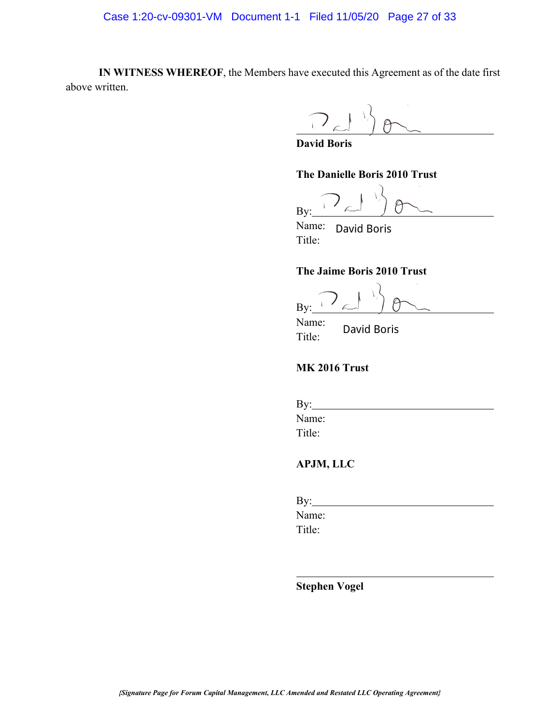**IN WITNESS WHEREOF**, the Members have executed this Agreement as of the date first above written.

**David Boris**

**The Danielle Boris 2010 Trust**

e By:

Name: Title: David Boris

#### **The Jaime Boris 2010 Trust**

By:

Name: Title: David Boris

# **MK 2016 Trust**

| $\gamma$ : |  |  |
|------------|--|--|
| Name:      |  |  |
| Title:     |  |  |

# **APJM, LLC**

 $By:$ Name: Title: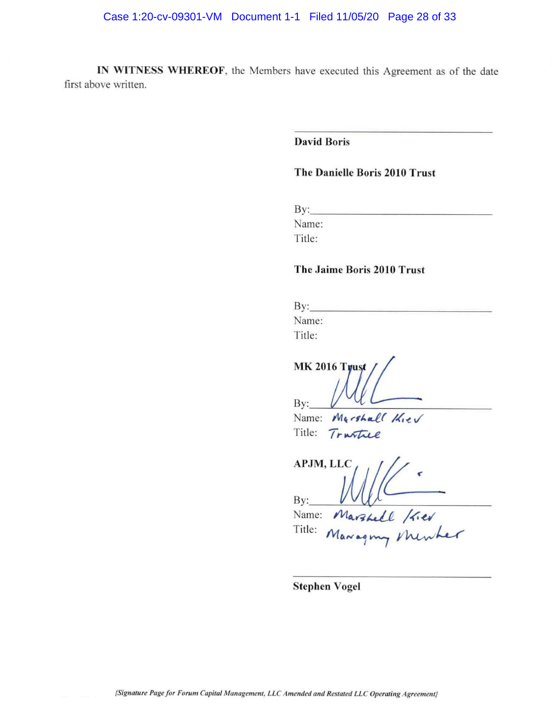IN WITNESS WHEREOF, the Members have executed this Agreement as of the date first above written.

**David Boris** 

# The Danielle Boris 2010 Trust

 $By:$ 

Name:

Title:

#### The Jaime Boris 2010 Trust

 $By:$ Name:

Title:

**MK 2016 Trust** By:

Name: Marshall Kiev Title: *Trustice* 

APJM, LLC By:

Name: Marshell / Kier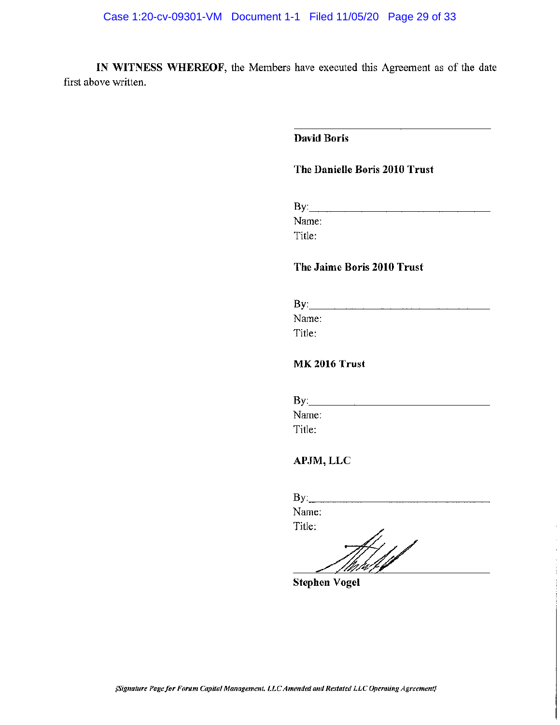IN WITNESS WHEREOF, the Members have executed this Agreement as of the date first above written.

# **David Boris**

# The Danielle Boris 2010 Trust

By: Executive Contract of the Contract of the Contract of the Contract of the Contract of the Contract of the Contract of the Contract of the Contract of the Contract of the Contract of the Contract of the Contract of the

Name:

Title:

#### The Jaime Boris 2010 Trust

 $\mathbf{By:}$ Name: Title:

# **MK 2016 Trust**

| By:    |  |  |
|--------|--|--|
| Name:  |  |  |
| Title: |  |  |

# APJM, LLC

 $By:$ 

Name: Title: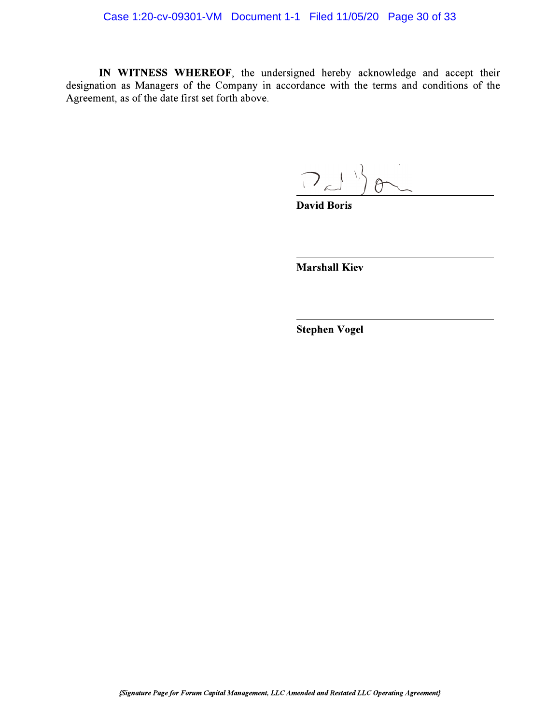# Case 1:20-cv-09301-VM Document 1-1 Filed 11/05/20 Page 30 of 33

IN WITNESS WHEREOF, the undersigned hereby acknowledge and accept their designation as Managers of the Company in accordance with the terms and conditions of the Agreement, as of the date first set forth above.

 $2d \geq 0$ 

**David Boris** 

**Marshall Kiev**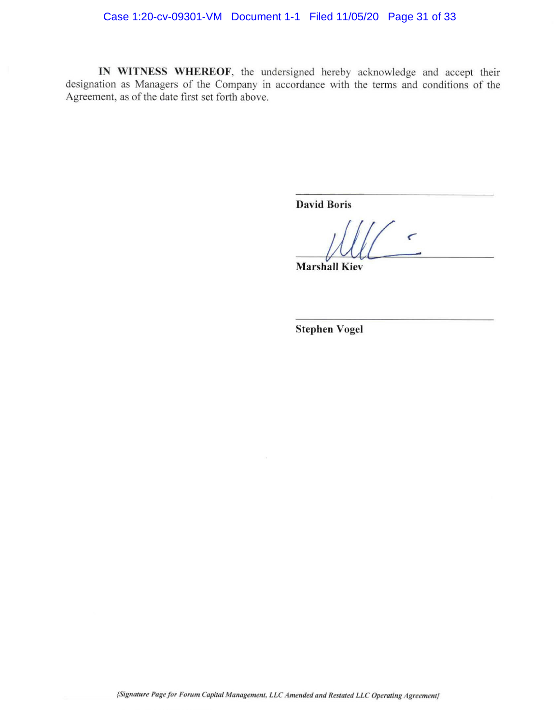# Case 1:20-cv-09301-VM Document 1-1 Filed 11/05/20 Page 31 of 33

IN WITNESS WHEREOF, the undersigned hereby acknowledge and accept their designation as Managers of the Company in accordance with the terms and conditions of the Agreement, as of the date first set forth above.

**David Boris** 

 $\epsilon$ 

**Marshall Kiev**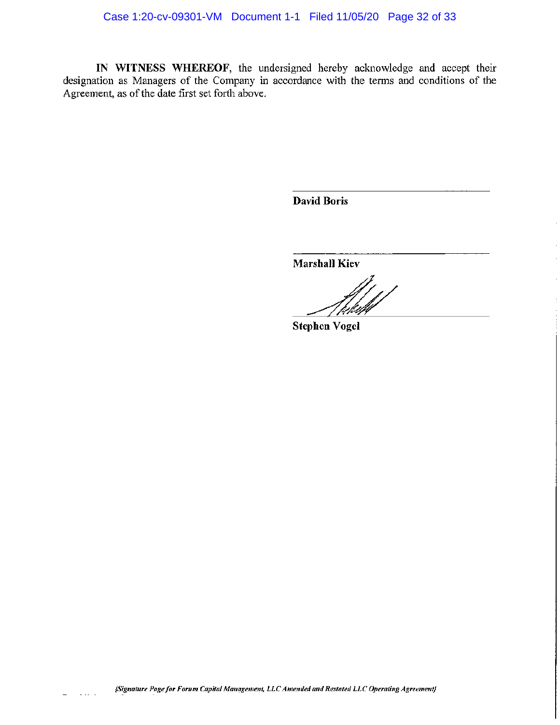IN WITNESS WHEREOF, the undersigned hereby acknowledge and accept their designation as Managers of the Company in accordance with the terms and conditions of the Agreement, as of the date first set forth above.

**David Boris** 

**Marshall Kiev** 

**Stephen Vogel** 

{Signature Page for Forum Capital Management, LLC Amended and Restated LLC Operating Agreement}